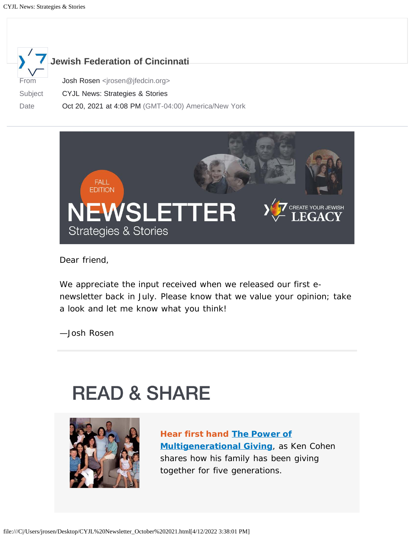



Dear friend,

We appreciate the input received when we released our first enewsletter back in July. Please know that we value your opinion; take a look and let me know what you think!

—Josh Rosen

# **READ & SHARE**



**Hear first hand [The Power of](https://blog.jewishcincinnati.org/hyh-giving-strategies-the-power-of-multigenerational-philanthropy/) [Multigenerational Giving](https://blog.jewishcincinnati.org/hyh-giving-strategies-the-power-of-multigenerational-philanthropy/)**, as Ken Cohen shares how his family has been giving together for five generations.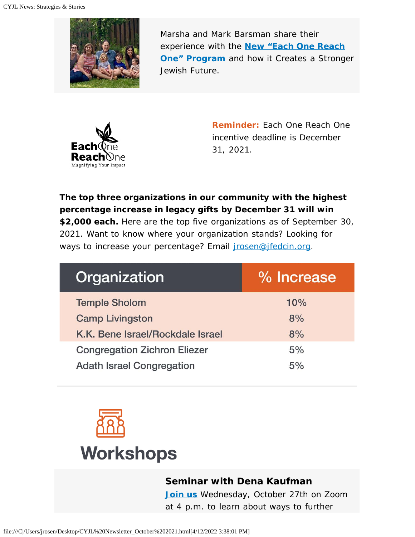

Marsha and Mark Barsman share their experience with the **[New "Each One Reach](https://blog.jewishcincinnati.org/hyh-new-each-one-reach-one-program-creates-stronger-jewish-future/) [One" Program](https://blog.jewishcincinnati.org/hyh-new-each-one-reach-one-program-creates-stronger-jewish-future/)** and how it Creates a Stronger Jewish Future.



**Reminder:** Each One Reach One incentive deadline is December 31, 2021.

**The top three organizations in our community with the highest percentage increase in legacy gifts by December 31 will win \$2,000 each.** Here are the top five organizations as of September 30, 2021. Want to know where your organization stands? Looking for ways to increase your percentage? Email *irosen@jfedcin.org.* 

| Organization                        | % Increase |
|-------------------------------------|------------|
| <b>Temple Sholom</b>                | 10%        |
| <b>Camp Livingston</b>              | 8%         |
| K.K. Bene Israel/Rockdale Israel    | 8%         |
| <b>Congregation Zichron Eliezer</b> | 5%         |
| <b>Adath Israel Congregation</b>    | 5%         |



### **Seminar with Dena Kaufman**

**[Join us](https://us06web.zoom.us/j/89283152051)** Wednesday, October 27th on Zoom at 4 p.m. to learn about ways to further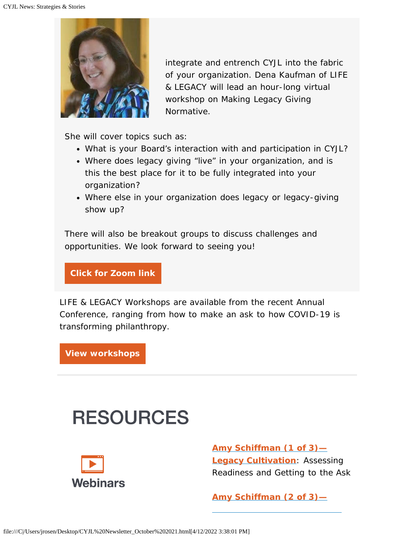

integrate and entrench CYJL into the fabric of your organization. Dena Kaufman of LIFE & LEGACY will lead an hour-long virtual workshop on Making Legacy Giving Normative.

She will cover topics such as:

- What is your Board's interaction with and participation in CYJL?
- Where does legacy giving "live" in your organization, and is this the best place for it to be fully integrated into your organization?
- Where else in your organization does legacy or legacy-giving show up?

There will also be breakout groups to discuss challenges and opportunities. We look forward to seeing you!

**[Click for Zoom link](https://us06web.zoom.us/j/89283152051)**

LIFE & LEGACY Workshops are available from the recent Annual Conference, ranging from how to make an ask to how COVID-19 is transforming philanthropy.

**[View workshops](https://jewishlifelegacy.org/annual-conference/powerpoints-and-recordings)**

## **RESOURCES**



**[Amy Schiffman \(1 of 3\)—](https://vimeo.com/543216334) [Legacy Cultivation](https://vimeo.com/543216334)**: Assessing Readiness and Getting to the Ask

**[Amy Schiffman \(2 of 3\)—](https://vimeo.com/569018465)**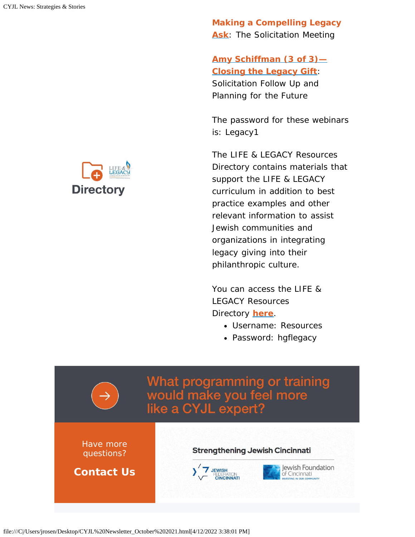**[Making a Compelling Legacy](https://vimeo.com/569018465) [Ask](https://vimeo.com/569018465)**: The Solicitation Meeting

### **[Amy Schiffman \(3 of 3\)—](https://vimeo.com/568997899) [Closing the Legacy Gift](https://vimeo.com/568997899)**:

Solicitation Follow Up and Planning for the Future

*The password for these webinars is: Legacy1*

The LIFE & LEGACY Resources Directory contains materials that support the LIFE & LEGACY curriculum in addition to best practice examples and other relevant information to assist Jewish communities and organizations in integrating legacy giving into their philanthropic culture.

You can access the LIFE & LEGACY Resources Directory **[here](https://jewishlifelegacy.org/log-in)**.

- Username: Resources
- Password: hgflegacy